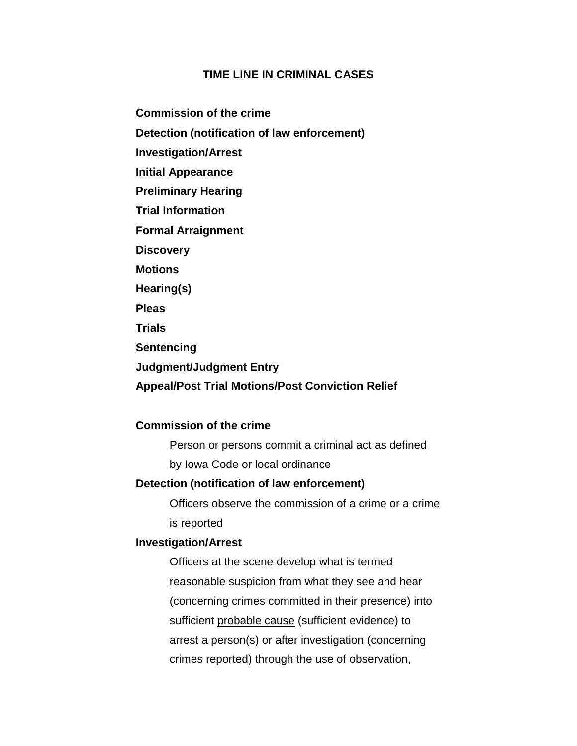# **TIME LINE IN CRIMINAL CASES**

**Commission of the crime**

**Detection (notification of law enforcement)**

**Investigation/Arrest**

**Initial Appearance**

**Preliminary Hearing** 

**Trial Information**

**Formal Arraignment** 

**Discovery**

**Motions**

**Hearing(s)**

**Pleas**

**Trials**

**Sentencing**

**Judgment/Judgment Entry**

**Appeal/Post Trial Motions/Post Conviction Relief**

# **Commission of the crime**

Person or persons commit a criminal act as defined by Iowa Code or local ordinance

# **Detection (notification of law enforcement)**

Officers observe the commission of a crime or a crime is reported

# **Investigation/Arrest**

Officers at the scene develop what is termed reasonable suspicion from what they see and hear (concerning crimes committed in their presence) into sufficient probable cause (sufficient evidence) to arrest a person(s) or after investigation (concerning crimes reported) through the use of observation,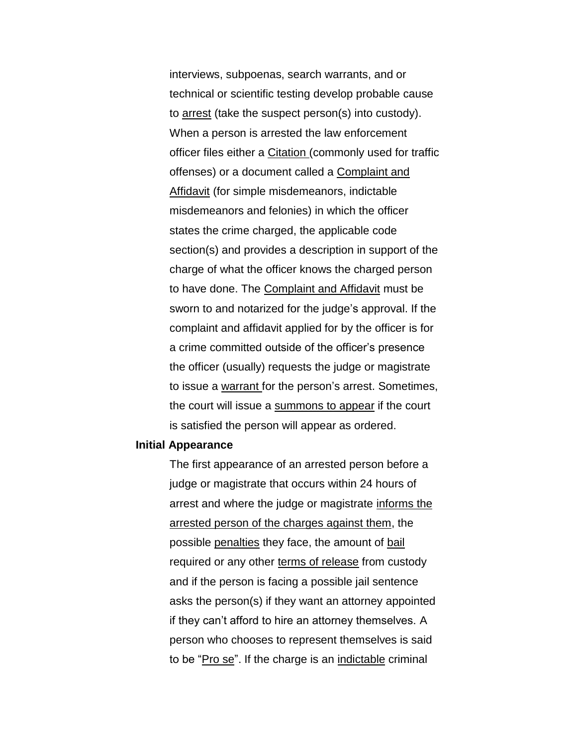interviews, subpoenas, search warrants, and or technical or scientific testing develop probable cause to arrest (take the suspect person(s) into custody). When a person is arrested the law enforcement officer files either a Citation (commonly used for traffic offenses) or a document called a Complaint and Affidavit (for simple misdemeanors, indictable misdemeanors and felonies) in which the officer states the crime charged, the applicable code section(s) and provides a description in support of the charge of what the officer knows the charged person to have done. The Complaint and Affidavit must be sworn to and notarized for the judge's approval. If the complaint and affidavit applied for by the officer is for a crime committed outside of the officer's presence the officer (usually) requests the judge or magistrate to issue a warrant for the person's arrest. Sometimes, the court will issue a summons to appear if the court is satisfied the person will appear as ordered.

### **Initial Appearance**

The first appearance of an arrested person before a judge or magistrate that occurs within 24 hours of arrest and where the judge or magistrate informs the arrested person of the charges against them, the possible penalties they face, the amount of bail required or any other terms of release from custody and if the person is facing a possible jail sentence asks the person(s) if they want an attorney appointed if they can't afford to hire an attorney themselves. A person who chooses to represent themselves is said to be "Pro se". If the charge is an indictable criminal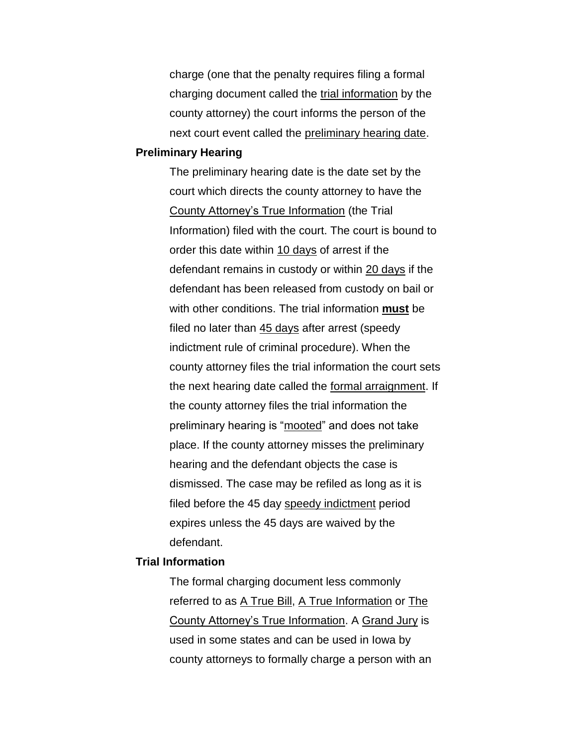charge (one that the penalty requires filing a formal charging document called the trial information by the county attorney) the court informs the person of the next court event called the preliminary hearing date.

#### **Preliminary Hearing**

The preliminary hearing date is the date set by the court which directs the county attorney to have the County Attorney's True Information (the Trial Information) filed with the court. The court is bound to order this date within 10 days of arrest if the defendant remains in custody or within 20 days if the defendant has been released from custody on bail or with other conditions. The trial information **must** be filed no later than 45 days after arrest (speedy indictment rule of criminal procedure). When the county attorney files the trial information the court sets the next hearing date called the formal arraignment. If the county attorney files the trial information the preliminary hearing is "mooted" and does not take place. If the county attorney misses the preliminary hearing and the defendant objects the case is dismissed. The case may be refiled as long as it is filed before the 45 day speedy indictment period expires unless the 45 days are waived by the defendant.

### **Trial Information**

The formal charging document less commonly referred to as A True Bill, A True Information or The County Attorney's True Information. A Grand Jury is used in some states and can be used in Iowa by county attorneys to formally charge a person with an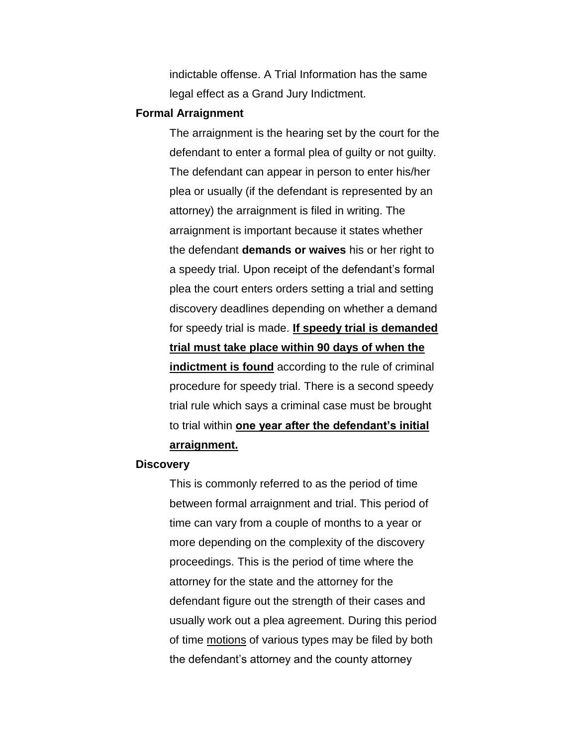indictable offense. A Trial Information has the same legal effect as a Grand Jury Indictment.

#### **Formal Arraignment**

The arraignment is the hearing set by the court for the defendant to enter a formal plea of guilty or not guilty. The defendant can appear in person to enter his/her plea or usually (if the defendant is represented by an attorney) the arraignment is filed in writing. The arraignment is important because it states whether the defendant **demands or waives** his or her right to a speedy trial. Upon receipt of the defendant's formal plea the court enters orders setting a trial and setting discovery deadlines depending on whether a demand for speedy trial is made. **If speedy trial is demanded trial must take place within 90 days of when the indictment is found** according to the rule of criminal procedure for speedy trial. There is a second speedy trial rule which says a criminal case must be brought to trial within **one year after the defendant's initial arraignment.**

#### **Discovery**

This is commonly referred to as the period of time between formal arraignment and trial. This period of time can vary from a couple of months to a year or more depending on the complexity of the discovery proceedings. This is the period of time where the attorney for the state and the attorney for the defendant figure out the strength of their cases and usually work out a plea agreement. During this period of time motions of various types may be filed by both the defendant's attorney and the county attorney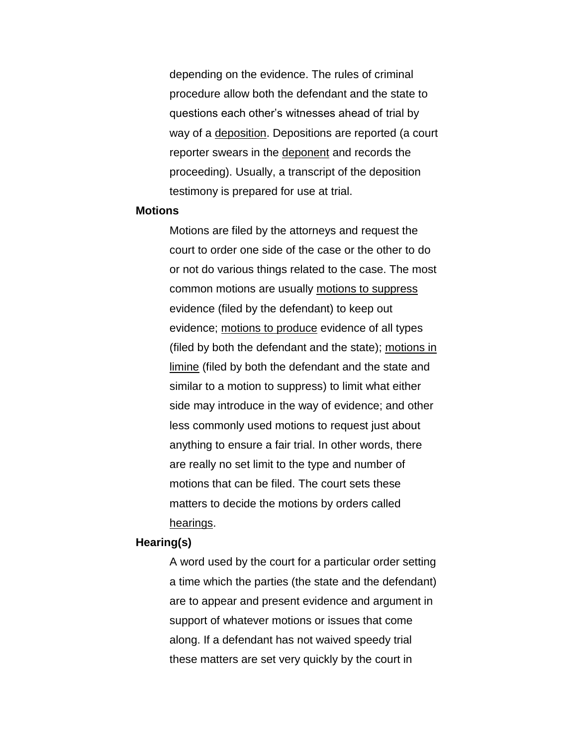depending on the evidence. The rules of criminal procedure allow both the defendant and the state to questions each other's witnesses ahead of trial by way of a deposition. Depositions are reported (a court reporter swears in the deponent and records the proceeding). Usually, a transcript of the deposition testimony is prepared for use at trial.

#### **Motions**

Motions are filed by the attorneys and request the court to order one side of the case or the other to do or not do various things related to the case. The most common motions are usually motions to suppress evidence (filed by the defendant) to keep out evidence; motions to produce evidence of all types (filed by both the defendant and the state); motions in limine (filed by both the defendant and the state and similar to a motion to suppress) to limit what either side may introduce in the way of evidence; and other less commonly used motions to request just about anything to ensure a fair trial. In other words, there are really no set limit to the type and number of motions that can be filed. The court sets these matters to decide the motions by orders called hearings.

# **Hearing(s)**

A word used by the court for a particular order setting a time which the parties (the state and the defendant) are to appear and present evidence and argument in support of whatever motions or issues that come along. If a defendant has not waived speedy trial these matters are set very quickly by the court in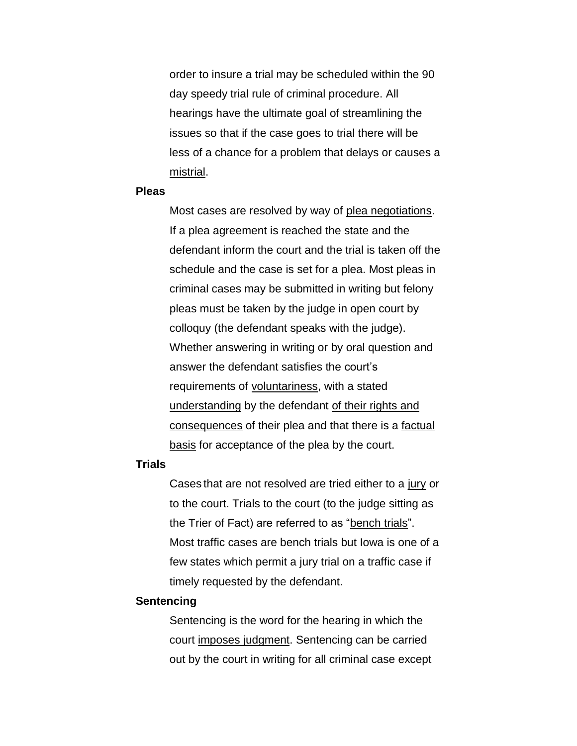order to insure a trial may be scheduled within the 90 day speedy trial rule of criminal procedure. All hearings have the ultimate goal of streamlining the issues so that if the case goes to trial there will be less of a chance for a problem that delays or causes a mistrial.

#### **Pleas**

Most cases are resolved by way of plea negotiations. If a plea agreement is reached the state and the defendant inform the court and the trial is taken off the schedule and the case is set for a plea. Most pleas in criminal cases may be submitted in writing but felony pleas must be taken by the judge in open court by colloquy (the defendant speaks with the judge). Whether answering in writing or by oral question and answer the defendant satisfies the court's requirements of voluntariness, with a stated understanding by the defendant of their rights and consequences of their plea and that there is a factual basis for acceptance of the plea by the court.

# **Trials**

Cases that are not resolved are tried either to a jury or to the court. Trials to the court (to the judge sitting as the Trier of Fact) are referred to as "bench trials". Most traffic cases are bench trials but Iowa is one of a few states which permit a jury trial on a traffic case if timely requested by the defendant.

#### **Sentencing**

Sentencing is the word for the hearing in which the court imposes judgment. Sentencing can be carried out by the court in writing for all criminal case except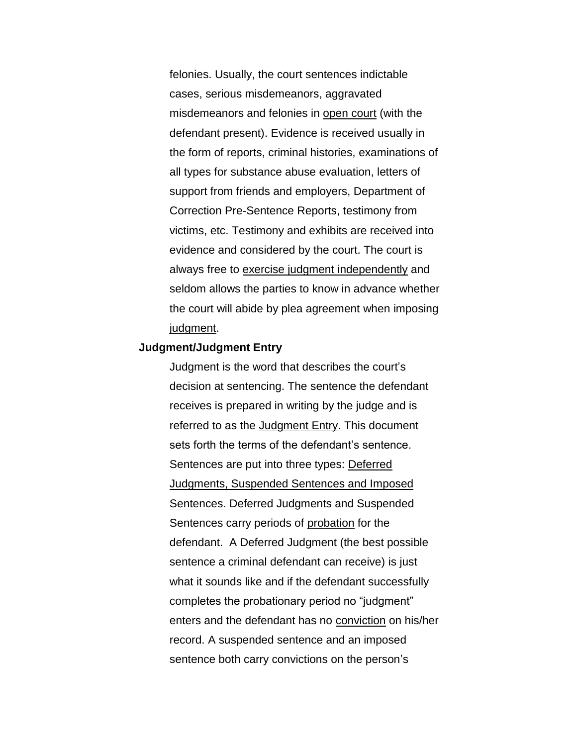felonies. Usually, the court sentences indictable cases, serious misdemeanors, aggravated misdemeanors and felonies in open court (with the defendant present). Evidence is received usually in the form of reports, criminal histories, examinations of all types for substance abuse evaluation, letters of support from friends and employers, Department of Correction Pre-Sentence Reports, testimony from victims, etc. Testimony and exhibits are received into evidence and considered by the court. The court is always free to exercise judgment independently and seldom allows the parties to know in advance whether the court will abide by plea agreement when imposing judgment.

### **Judgment/Judgment Entry**

Judgment is the word that describes the court's decision at sentencing. The sentence the defendant receives is prepared in writing by the judge and is referred to as the Judgment Entry. This document sets forth the terms of the defendant's sentence. Sentences are put into three types: Deferred Judgments, Suspended Sentences and Imposed Sentences. Deferred Judgments and Suspended Sentences carry periods of probation for the defendant. A Deferred Judgment (the best possible sentence a criminal defendant can receive) is just what it sounds like and if the defendant successfully completes the probationary period no "judgment" enters and the defendant has no conviction on his/her record. A suspended sentence and an imposed sentence both carry convictions on the person's